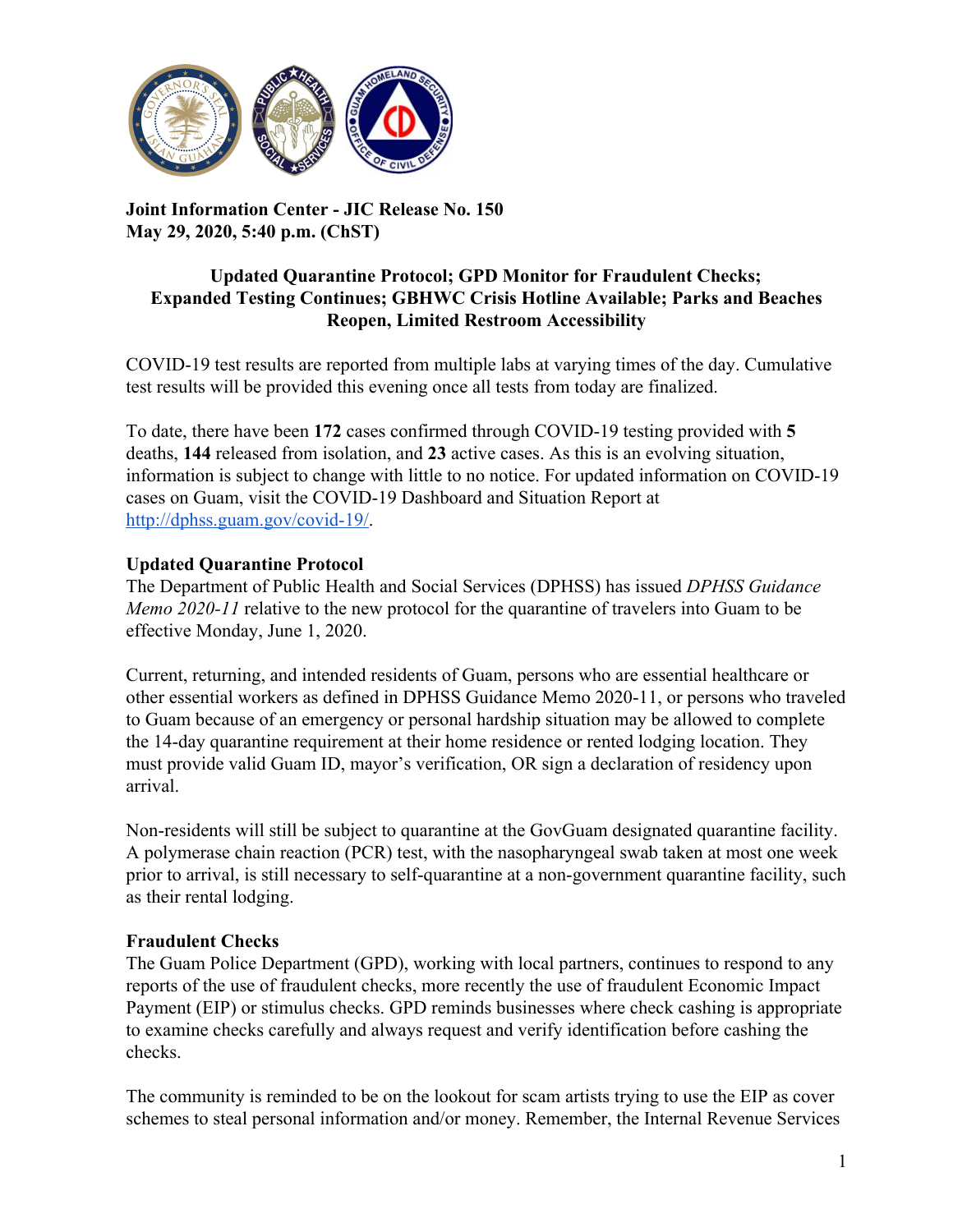

**Joint Information Center - JIC Release No. 150 May 29, 2020, 5:40 p.m. (ChST)**

#### **Updated Quarantine Protocol; GPD Monitor for Fraudulent Checks; Expanded Testing Continues; GBHWC Crisis Hotline Available; Parks and Beaches Reopen, Limited Restroom Accessibility**

COVID-19 test results are reported from multiple labs at varying times of the day. Cumulative test results will be provided this evening once all tests from today are finalized.

To date, there have been **172** cases confirmed through COVID-19 testing provided with **5** deaths, **144** released from isolation, and **23** active cases. As this is an evolving situation, information is subject to change with little to no notice. For updated information on COVID-19 cases on Guam, visit the COVID-19 Dashboard and Situation Report at [http://dphss.guam.gov/covid-19/.](http://dphss.guam.gov/covid-19/)

## **Updated Quarantine Protocol**

The Department of Public Health and Social Services (DPHSS) has issued *DPHSS Guidance Memo 2020-11* relative to the new protocol for the quarantine of travelers into Guam to be effective Monday, June 1, 2020.

Current, returning, and intended residents of Guam, persons who are essential healthcare or other essential workers as defined in DPHSS Guidance Memo 2020-11, or persons who traveled to Guam because of an emergency or personal hardship situation may be allowed to complete the 14-day quarantine requirement at their home residence or rented lodging location. They must provide valid Guam ID, mayor's verification, OR sign a declaration of residency upon arrival.

Non-residents will still be subject to quarantine at the GovGuam designated quarantine facility. A polymerase chain reaction (PCR) test, with the nasopharyngeal swab taken at most one week prior to arrival, is still necessary to self-quarantine at a non-government quarantine facility, such as their rental lodging.

## **Fraudulent Checks**

The Guam Police Department (GPD), working with local partners, continues to respond to any reports of the use of fraudulent checks, more recently the use of fraudulent Economic Impact Payment (EIP) or stimulus checks. GPD reminds businesses where check cashing is appropriate to examine checks carefully and always request and verify identification before cashing the checks.

The community is reminded to be on the lookout for scam artists trying to use the EIP as cover schemes to steal personal information and/or money. Remember, the Internal Revenue Services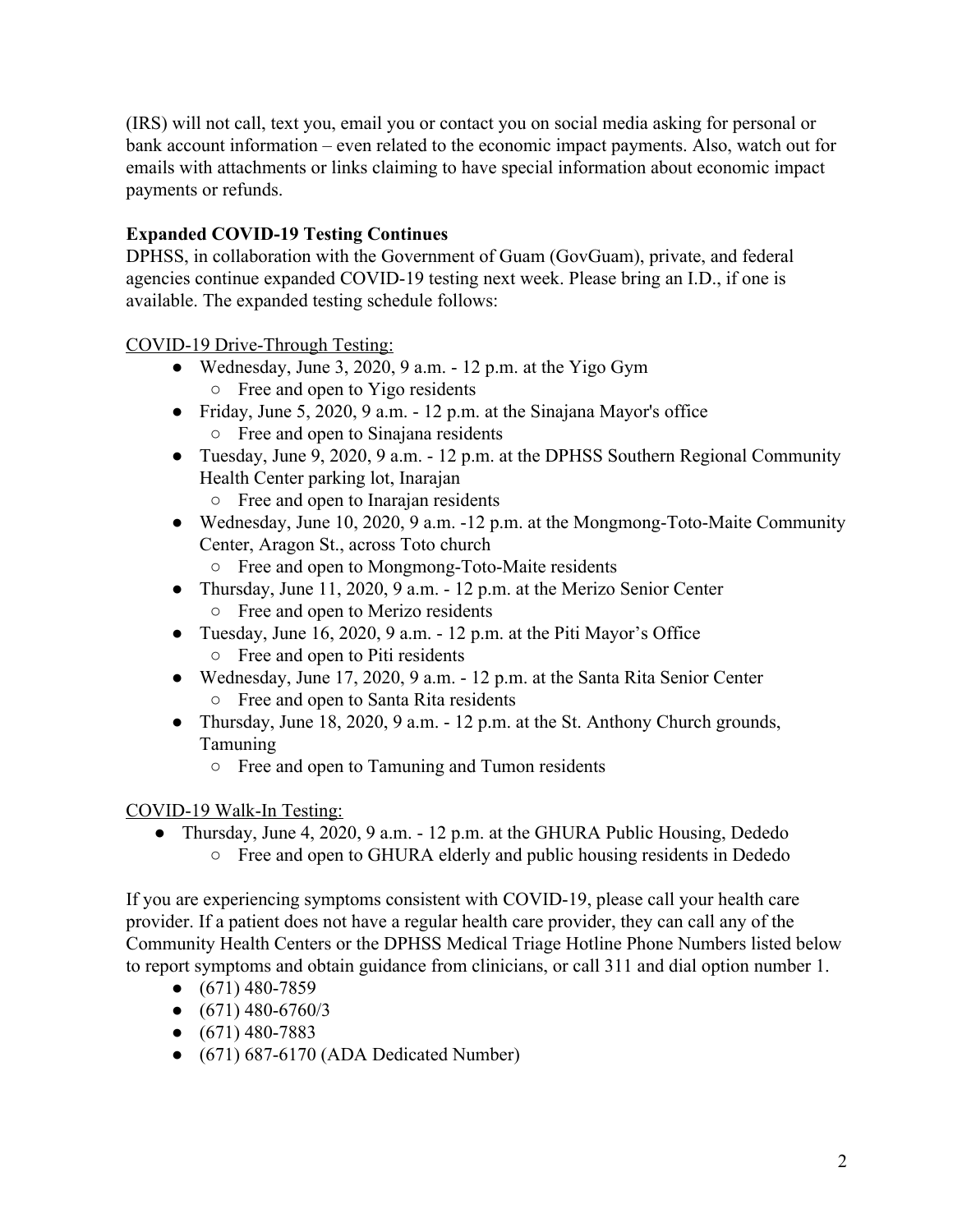(IRS) will not call, text you, email you or contact you on social media asking for personal or bank account information – even related to the economic impact payments. Also, watch out for emails with attachments or links claiming to have special information about economic impact payments or refunds.

# **Expanded COVID-19 Testing Continues**

DPHSS, in collaboration with the Government of Guam (GovGuam), private, and federal agencies continue expanded COVID-19 testing next week. Please bring an I.D., if one is available. The expanded testing schedule follows:

## COVID-19 Drive-Through Testing:

- Wednesday, June 3, 2020, 9 a.m.  $-12$  p.m. at the Yigo Gym ○ Free and open to Yigo residents
- Friday, June 5, 2020, 9 a.m.  $-12$  p.m. at the Sinajana Mayor's office ○ Free and open to Sinajana residents
- Tuesday, June 9, 2020, 9 a.m. 12 p.m. at the DPHSS Southern Regional Community Health Center parking lot, Inarajan
	- Free and open to Inarajan residents
- Wednesday, June 10, 2020, 9 a.m. -12 p.m. at the Mongmong-Toto-Maite Community Center, Aragon St., across Toto church
	- Free and open to Mongmong-Toto-Maite residents
- Thursday, June 11, 2020, 9 a.m. 12 p.m. at the Merizo Senior Center ○ Free and open to Merizo residents
- Tuesday, June 16, 2020, 9 a.m. 12 p.m. at the Piti Mayor's Office ○ Free and open to Piti residents
- Wednesday, June 17, 2020, 9 a.m. 12 p.m. at the Santa Rita Senior Center ○ Free and open to Santa Rita residents
- Thursday, June 18, 2020, 9 a.m. 12 p.m. at the St. Anthony Church grounds, Tamuning
	- Free and open to Tamuning and Tumon residents

## COVID-19 Walk-In Testing:

• Thursday, June 4, 2020, 9 a.m. - 12 p.m. at the GHURA Public Housing, Dededo ○ Free and open to GHURA elderly and public housing residents in Dededo

If you are experiencing symptoms consistent with COVID-19, please call your health care provider. If a patient does not have a regular health care provider, they can call any of the Community Health Centers or the DPHSS Medical Triage Hotline Phone Numbers listed below to report symptoms and obtain guidance from clinicians, or call 311 and dial option number 1.

- $\bullet$  (671) 480-7859
- $\bullet$  (671) 480-6760/3
- $\bullet$  (671) 480-7883
- $\bullet$  (671) 687-6170 (ADA Dedicated Number)